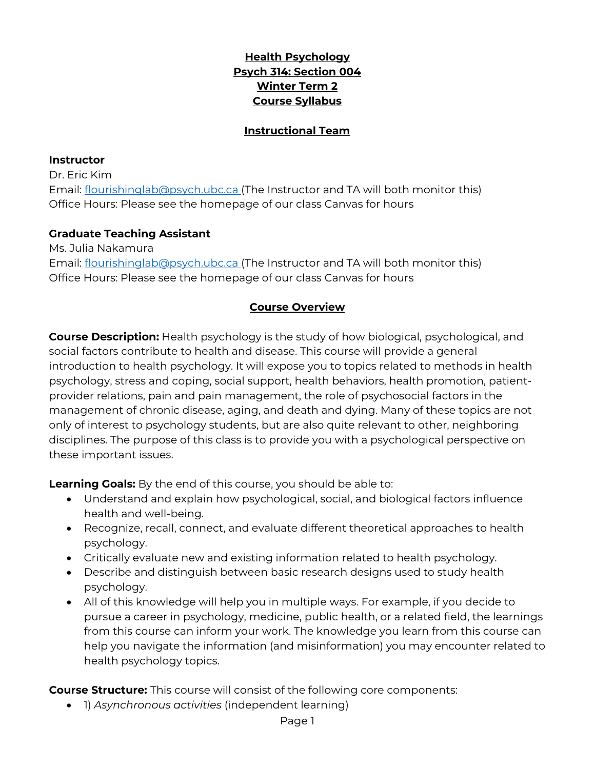## **Health Psychology Psych 314: Section 004 Winter Term 2 Course Syllabus**

#### **Instructional Team**

#### **Instructor**

Dr. Eric Kim Email: [flourishinglab@psych.ubc.ca](mailto:flourishinglab@psych.ubc.ca) (The Instructor and TA will both monitor this) Office Hours: Please see the homepage of our class Canvas for hours

#### **Graduate Teaching Assistant**

Ms. Julia Nakamura Email: [flourishinglab@psych.ubc.ca](mailto:flourishinglab@psych.ubc.ca) (The Instructor and TA will both monitor this) Office Hours: Please see the homepage of our class Canvas for hours

### **Course Overview**

**Course Description:** Health psychology is the study of how biological, psychological, and social factors contribute to health and disease. This course will provide a general introduction to health psychology. It will expose you to topics related to methods in health psychology, stress and coping, social support, health behaviors, health promotion, patientprovider relations, pain and pain management, the role of psychosocial factors in the management of chronic disease, aging, and death and dying. Many of these topics are not only of interest to psychology students, but are also quite relevant to other, neighboring disciplines. The purpose of this class is to provide you with a psychological perspective on these important issues.

**Learning Goals:** By the end of this course, you should be able to:

- Understand and explain how psychological, social, and biological factors influence health and well-being.
- Recognize, recall, connect, and evaluate different theoretical approaches to health psychology.
- Critically evaluate new and existing information related to health psychology.
- Describe and distinguish between basic research designs used to study health psychology.
- All of this knowledge will help you in multiple ways. For example, if you decide to pursue a career in psychology, medicine, public health, or a related field, the learnings from this course can inform your work. The knowledge you learn from this course can help you navigate the information (and misinformation) you may encounter related to health psychology topics.

**Course Structure:** This course will consist of the following core components:

• 1) *Asynchronous activities* (independent learning)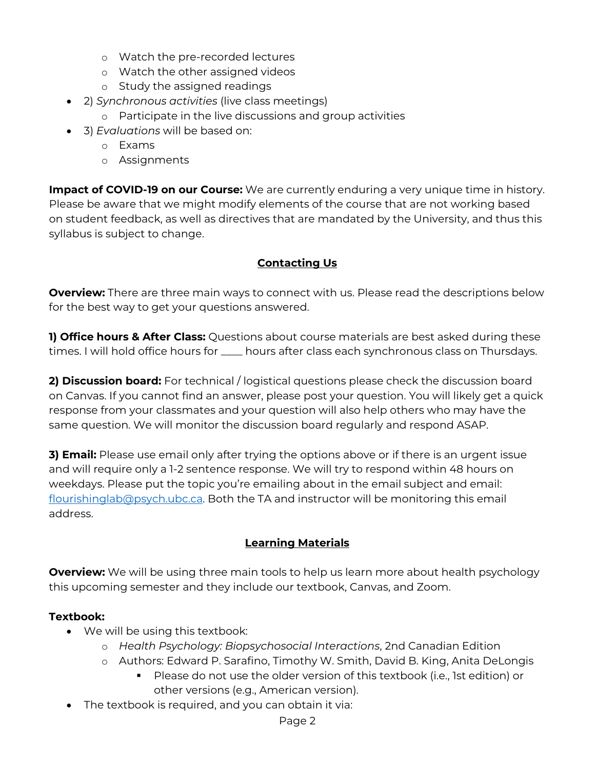- o Watch the pre-recorded lectures
- o Watch the other assigned videos
- o Study the assigned readings
- 2) *Synchronous activities* (live class meetings)
	- o Participate in the live discussions and group activities
- 3) *Evaluations* will be based on:
	- o Exams
	- o Assignments

**Impact of COVID-19 on our Course:** We are currently enduring a very unique time in history. Please be aware that we might modify elements of the course that are not working based on student feedback, as well as directives that are mandated by the University, and thus this syllabus is subject to change.

## **Contacting Us**

**Overview:** There are three main ways to connect with us. Please read the descriptions below for the best way to get your questions answered.

**1) Office hours & After Class:** Questions about course materials are best asked during these times. I will hold office hours for \_\_\_\_ hours after class each synchronous class on Thursdays.

**2) Discussion board:** For technical / logistical questions please check the discussion board on Canvas. If you cannot find an answer, please post your question. You will likely get a quick response from your classmates and your question will also help others who may have the same question. We will monitor the discussion board regularly and respond ASAP.

**3) Email:** Please use email only after trying the options above or if there is an urgent issue and will require only a 1-2 sentence response. We will try to respond within 48 hours on weekdays. Please put the topic you're emailing about in the email subject and email: [flourishinglab@psych.ubc.ca.](mailto:flourishinglab@psych.ubc.ca) Both the TA and instructor will be monitoring this email address.

## **Learning Materials**

**Overview:** We will be using three main tools to help us learn more about health psychology this upcoming semester and they include our textbook, Canvas, and Zoom.

## **Textbook:**

- We will be using this textbook:
	- o *Health Psychology: Biopsychosocial Interactions*, 2nd Canadian Edition
	- o Authors: Edward P. Sarafino, Timothy W. Smith, David B. King, Anita DeLongis
		- Please do not use the older version of this textbook (i.e., 1st edition) or other versions (e.g., American version).
- The textbook is required, and you can obtain it via: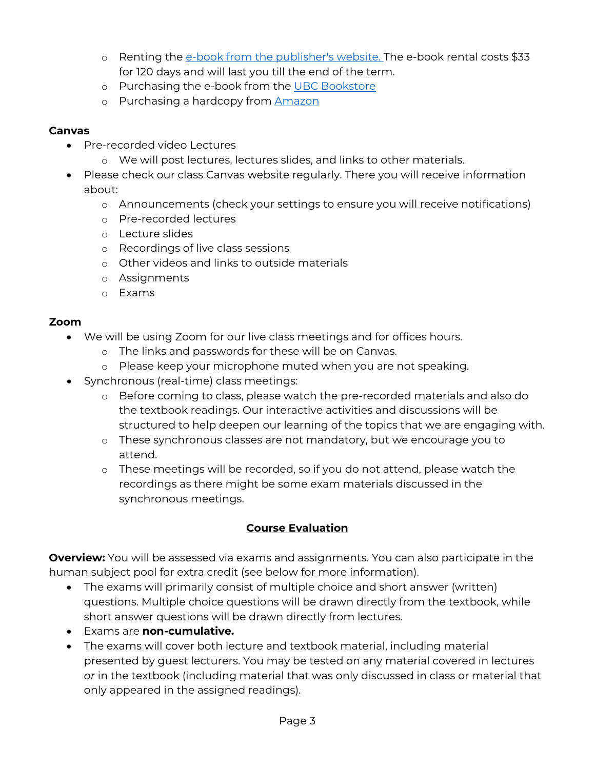- o Renting the [e-book from the publisher's website.](https://www.wiley.com/en-ca/Health+Psychology%3A+Biopsychosocial+Interactions%2C+2nd+Canadian+Edition-p-9781119506881) The e-book rental costs \$33 for 120 days and will last you till the end of the term.
- o Purchasing the e-book from the [UBC Bookstore](https://shop.bookstore.ubc.ca/courselistbuilder.aspx)
- o Purchasing a hardcopy from **[Amazon](https://www.amazon.ca/gp/product/1119506948/ref=ppx_yo_dt_b_asin_title_o00_s00?ie=UTF8&psc=1)**

### **Canvas**

- Pre-recorded video Lectures
	- o We will post lectures, lectures slides, and links to other materials.
- Please check our class Canvas website regularly. There you will receive information about:
	- o Announcements (check your settings to ensure you will receive notifications)
	- o Pre-recorded lectures
	- o Lecture slides
	- o Recordings of live class sessions
	- o Other videos and links to outside materials
	- o Assignments
	- o Exams

### **Zoom**

- We will be using Zoom for our live class meetings and for offices hours.
	- o The links and passwords for these will be on Canvas.
	- o Please keep your microphone muted when you are not speaking.
- Synchronous (real-time) class meetings:
	- o Before coming to class, please watch the pre-recorded materials and also do the textbook readings. Our interactive activities and discussions will be structured to help deepen our learning of the topics that we are engaging with.
	- o These synchronous classes are not mandatory, but we encourage you to attend.
	- o These meetings will be recorded, so if you do not attend, please watch the recordings as there might be some exam materials discussed in the synchronous meetings.

## **Course Evaluation**

**Overview:** You will be assessed via exams and assignments. You can also participate in the human subject pool for extra credit (see below for more information).

- The exams will primarily consist of multiple choice and short answer (written) questions. Multiple choice questions will be drawn directly from the textbook, while short answer questions will be drawn directly from lectures.
- Exams are **non-cumulative.**
- The exams will cover both lecture and textbook material, including material presented by guest lecturers. You may be tested on any material covered in lectures *or* in the textbook (including material that was only discussed in class or material that only appeared in the assigned readings).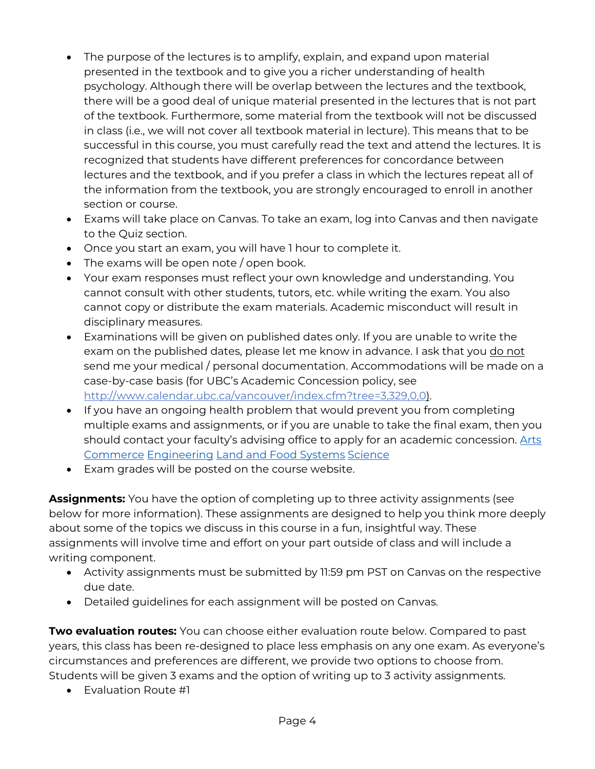- The purpose of the lectures is to amplify, explain, and expand upon material presented in the textbook and to give you a richer understanding of health psychology. Although there will be overlap between the lectures and the textbook, there will be a good deal of unique material presented in the lectures that is not part of the textbook. Furthermore, some material from the textbook will not be discussed in class (i.e., we will not cover all textbook material in lecture). This means that to be successful in this course, you must carefully read the text and attend the lectures. It is recognized that students have different preferences for concordance between lectures and the textbook, and if you prefer a class in which the lectures repeat all of the information from the textbook, you are strongly encouraged to enroll in another section or course.
- Exams will take place on Canvas. To take an exam, log into Canvas and then navigate to the Quiz section.
- Once you start an exam, you will have 1 hour to complete it.
- The exams will be open note / open book.
- Your exam responses must reflect your own knowledge and understanding. You cannot consult with other students, tutors, etc. while writing the exam. You also cannot copy or distribute the exam materials. Academic misconduct will result in disciplinary measures.
- Examinations will be given on published dates only. If you are unable to write the exam on the published dates, please let me know in advance. I ask that you do not send me your medical / personal documentation. Accommodations will be made on a case-by-case basis (for UBC's Academic Concession policy, see [http://www.calendar.ubc.ca/vancouver/index.cfm?tree=3,329,0,0\)](http://www.calendar.ubc.ca/vancouver/index.cfm?tree=3,329,0,0).
- If you have an ongoing health problem that would prevent you from completing multiple exams and assignments, or if you are unable to take the final exam, then you should contact your faculty's advising office to apply for an academic concession. [Arts](https://students.arts.ubc.ca/advising/academic-performance/help-academic-concession/) [Commerce](https://mybcom.sauder.ubc.ca/academic-concession) [Engineering](https://academicservices.engineering.ubc.ca/exams-grades/academic-concession/) [Land and Food Systems](https://www.landfood.ubc.ca/student-services/medical-emotional-difficulties/) [Science](https://science.ubc.ca/students/advising/concession)
- Exam grades will be posted on the course website.

**Assignments:** You have the option of completing up to three activity assignments (see below for more information). These assignments are designed to help you think more deeply about some of the topics we discuss in this course in a fun, insightful way. These assignments will involve time and effort on your part outside of class and will include a writing component.

- Activity assignments must be submitted by 11:59 pm PST on Canvas on the respective due date.
- Detailed guidelines for each assignment will be posted on Canvas.

**Two evaluation routes:** You can choose either evaluation route below. Compared to past years, this class has been re-designed to place less emphasis on any one exam. As everyone's circumstances and preferences are different, we provide two options to choose from. Students will be given 3 exams and the option of writing up to 3 activity assignments.

• Evaluation Route #1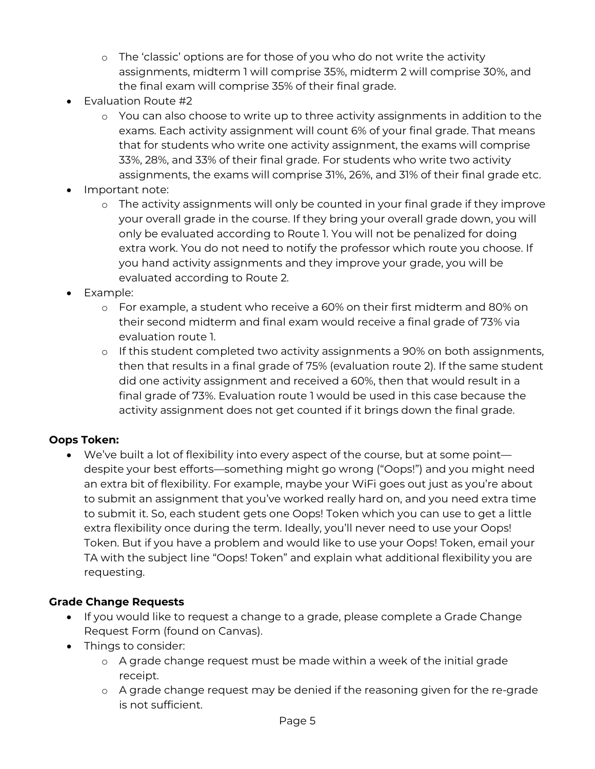- o The 'classic' options are for those of you who do not write the activity assignments, midterm 1 will comprise 35%, midterm 2 will comprise 30%, and the final exam will comprise 35% of their final grade.
- Evaluation Route #2
	- o You can also choose to write up to three activity assignments in addition to the exams. Each activity assignment will count 6% of your final grade. That means that for students who write one activity assignment, the exams will comprise 33%, 28%, and 33% of their final grade. For students who write two activity assignments, the exams will comprise 31%, 26%, and 31% of their final grade etc.
- Important note:
	- o The activity assignments will only be counted in your final grade if they improve your overall grade in the course. If they bring your overall grade down, you will only be evaluated according to Route 1. You will not be penalized for doing extra work. You do not need to notify the professor which route you choose. If you hand activity assignments and they improve your grade, you will be evaluated according to Route 2.
- Example:
	- o For example, a student who receive a 60% on their first midterm and 80% on their second midterm and final exam would receive a final grade of 73% via evaluation route 1.
	- o If this student completed two activity assignments a 90% on both assignments, then that results in a final grade of 75% (evaluation route 2). If the same student did one activity assignment and received a 60%, then that would result in a final grade of 73%. Evaluation route 1 would be used in this case because the activity assignment does not get counted if it brings down the final grade.

### **Oops Token:**

• We've built a lot of flexibility into every aspect of the course, but at some point despite your best efforts—something might go wrong ("Oops!") and you might need an extra bit of flexibility. For example, maybe your WiFi goes out just as you're about to submit an assignment that you've worked really hard on, and you need extra time to submit it. So, each student gets one Oops! Token which you can use to get a little extra flexibility once during the term. Ideally, you'll never need to use your Oops! Token. But if you have a problem and would like to use your Oops! Token, email your TA with the subject line "Oops! Token" and explain what additional flexibility you are requesting.

### **Grade Change Requests**

- If you would like to request a change to a grade, please complete a Grade Change Request Form (found on Canvas).
- Things to consider:
	- o A grade change request must be made within a week of the initial grade receipt.
	- o A grade change request may be denied if the reasoning given for the re-grade is not sufficient.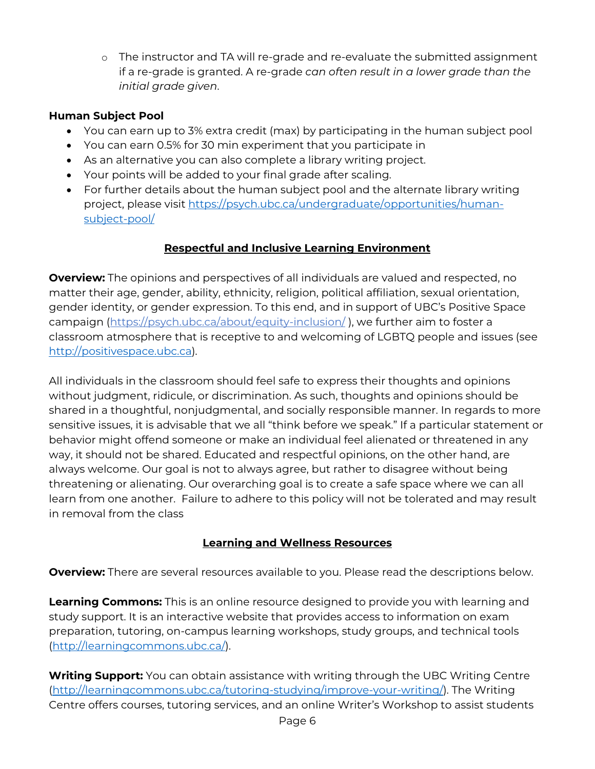o The instructor and TA will re-grade and re-evaluate the submitted assignment if a re-grade is granted. A re-grade *can often result in a lower grade than the initial grade given*.

## **Human Subject Pool**

- You can earn up to 3% extra credit (max) by participating in the human subject pool
- You can earn 0.5% for 30 min experiment that you participate in
- As an alternative you can also complete a library writing project.
- Your points will be added to your final grade after scaling.
- For further details about the human subject pool and the alternate library writing project, please visit [https://psych.ubc.ca/undergraduate/opportunities/human](https://psych.ubc.ca/undergraduate/opportunities/human-subject-pool/)[subject-pool/](https://psych.ubc.ca/undergraduate/opportunities/human-subject-pool/)

# **Respectful and Inclusive Learning Environment**

**Overview:** The opinions and perspectives of all individuals are valued and respected, no matter their age, gender, ability, ethnicity, religion, political affiliation, sexual orientation, gender identity, or gender expression. To this end, and in support of UBC's Positive Space campaign [\(https://psych.ubc.ca/about/equity-inclusion/](https://psych.ubc.ca/about/equity-inclusion/) ), we further aim to foster a classroom atmosphere that is receptive to and welcoming of LGBTQ people and issues (see [http://positivespace.ubc.ca\)](http://positivespace.ubc.ca/).

All individuals in the classroom should feel safe to express their thoughts and opinions without judgment, ridicule, or discrimination. As such, thoughts and opinions should be shared in a thoughtful, nonjudgmental, and socially responsible manner. In regards to more sensitive issues, it is advisable that we all "think before we speak." If a particular statement or behavior might offend someone or make an individual feel alienated or threatened in any way, it should not be shared. Educated and respectful opinions, on the other hand, are always welcome. Our goal is not to always agree, but rather to disagree without being threatening or alienating. Our overarching goal is to create a safe space where we can all learn from one another. Failure to adhere to this policy will not be tolerated and may result in removal from the class

# **Learning and Wellness Resources**

**Overview:** There are several resources available to you. Please read the descriptions below.

**Learning Commons:** This is an online resource designed to provide you with learning and study support. It is an interactive website that provides access to information on exam preparation, tutoring, on-campus learning workshops, study groups, and technical tools [\(http://learningcommons.ubc.ca/\)](http://learningcommons.ubc.ca/).

**Writing Support:** You can obtain assistance with writing through the UBC Writing Centre [\(http://learningcommons.ubc.ca/tutoring-studying/improve-your-writing/\)](http://learningcommons.ubc.ca/tutoring-studying/improve-your-writing/). The Writing Centre offers courses, tutoring services, and an online Writer's Workshop to assist students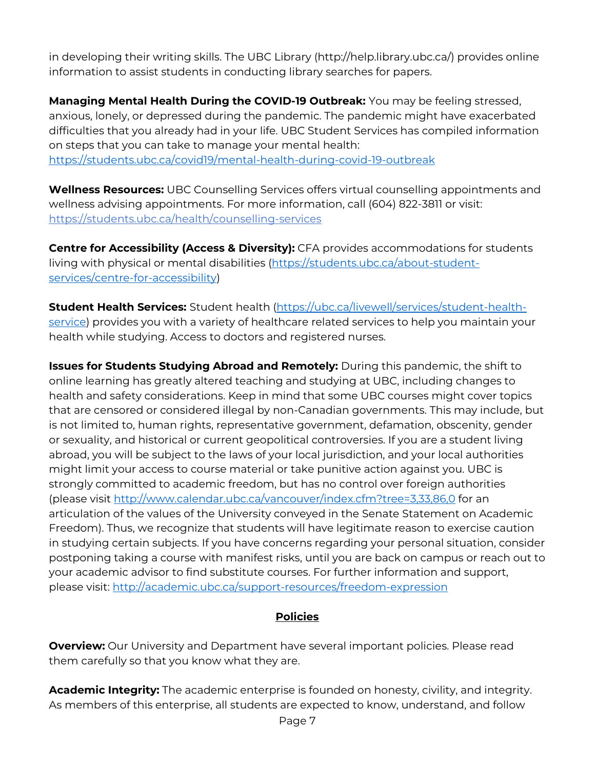in developing their writing skills. The UBC Library (http://help.library.ubc.ca/) provides online information to assist students in conducting library searches for papers.

**Managing Mental Health During the COVID-19 Outbreak:** You may be feeling stressed, anxious, lonely, or depressed during the pandemic. The pandemic might have exacerbated difficulties that you already had in your life. UBC Student Services has compiled information on steps that you can take to manage your mental health: <https://students.ubc.ca/covid19/mental-health-during-covid-19-outbreak>

**Wellness Resources:** UBC Counselling Services offers virtual counselling appointments and wellness advising appointments. For more information, call (604) 822-3811 or visit: <https://students.ubc.ca/health/counselling-services>

**Centre for Accessibility (Access & Diversity):** CFA provides accommodations for students living with physical or mental disabilities [\(https://students.ubc.ca/about-student](https://students.ubc.ca/about-student-services/centre-for-accessibility)[services/centre-for-accessibility\)](https://students.ubc.ca/about-student-services/centre-for-accessibility)

**Student Health Services:** Student health [\(https://ubc.ca/livewell/services/student-health](https://ubc.ca/livewell/services/student-health-service)[service\)](https://ubc.ca/livewell/services/student-health-service) provides you with a variety of healthcare related services to help you maintain your health while studying. Access to doctors and registered nurses.

**Issues for Students Studying Abroad and Remotely:** During this pandemic, the shift to online learning has greatly altered teaching and studying at UBC, including changes to health and safety considerations. Keep in mind that some UBC courses might cover topics that are censored or considered illegal by non-Canadian governments. This may include, but is not limited to, human rights, representative government, defamation, obscenity, gender or sexuality, and historical or current geopolitical controversies. If you are a student living abroad, you will be subject to the laws of your local jurisdiction, and your local authorities might limit your access to course material or take punitive action against you. UBC is strongly committed to academic freedom, but has no control over foreign authorities (please visit<http://www.calendar.ubc.ca/vancouver/index.cfm?tree=3,33,86,0> for an articulation of the values of the University conveyed in the Senate Statement on Academic Freedom). Thus, we recognize that students will have legitimate reason to exercise caution in studying certain subjects. If you have concerns regarding your personal situation, consider postponing taking a course with manifest risks, until you are back on campus or reach out to your academic advisor to find substitute courses. For further information and support, please visit:<http://academic.ubc.ca/support-resources/freedom-expression>

# **Policies**

**Overview:** Our University and Department have several important policies. Please read them carefully so that you know what they are.

**Academic Integrity:** The academic enterprise is founded on honesty, civility, and integrity. As members of this enterprise, all students are expected to know, understand, and follow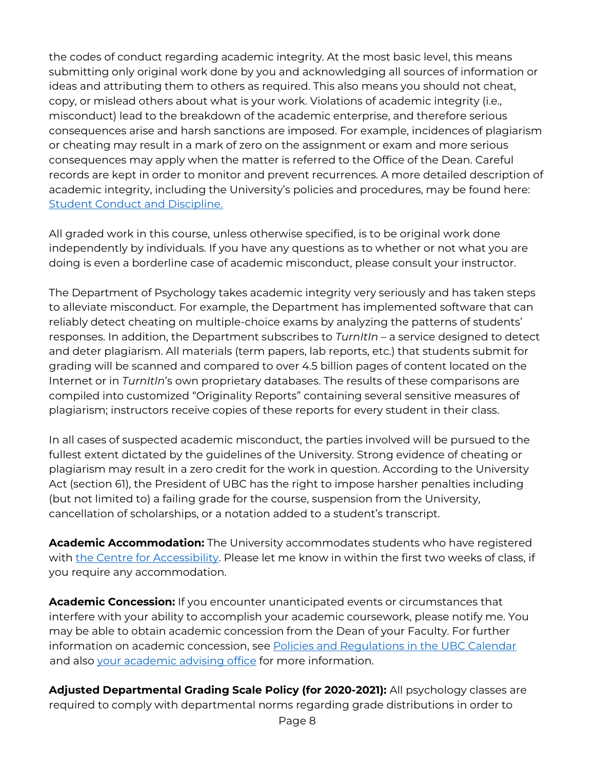the codes of conduct regarding academic integrity. At the most basic level, this means submitting only original work done by you and acknowledging all sources of information or ideas and attributing them to others as required. This also means you should not cheat, copy, or mislead others about what is your work. Violations of academic integrity (i.e., misconduct) lead to the breakdown of the academic enterprise, and therefore serious consequences arise and harsh sanctions are imposed. For example, incidences of plagiarism or cheating may result in a mark of zero on the assignment or exam and more serious consequences may apply when the matter is referred to the Office of the Dean. Careful records are kept in order to monitor and prevent recurrences. A more detailed description of academic integrity, including the University's policies and procedures, may be found here: [Student Conduct and Discipline.](http://www.calendar.ubc.ca/vancouver/index.cfm?tree=3,54,0,0)

All graded work in this course, unless otherwise specified, is to be original work done independently by individuals. If you have any questions as to whether or not what you are doing is even a borderline case of academic misconduct, please consult your instructor.

The Department of Psychology takes academic integrity very seriously and has taken steps to alleviate misconduct. For example, the Department has implemented software that can reliably detect cheating on multiple-choice exams by analyzing the patterns of students' responses. In addition, the Department subscribes to *TurnItIn* – a service designed to detect and deter plagiarism. All materials (term papers, lab reports, etc.) that students submit for grading will be scanned and compared to over 4.5 billion pages of content located on the Internet or in *TurnItIn*'s own proprietary databases. The results of these comparisons are compiled into customized "Originality Reports" containing several sensitive measures of plagiarism; instructors receive copies of these reports for every student in their class.

In all cases of suspected academic misconduct, the parties involved will be pursued to the fullest extent dictated by the guidelines of the University. Strong evidence of cheating or plagiarism may result in a zero credit for the work in question. According to the University Act (section 61), the President of UBC has the right to impose harsher penalties including (but not limited to) a failing grade for the course, suspension from the University, cancellation of scholarships, or a notation added to a student's transcript.

**Academic Accommodation:** The University accommodates students who have registered with [the Centre for Accessibility.](http://students.ubc.ca/about/access) Please let me know in within the first two weeks of class, if you require any accommodation.

**Academic Concession:** If you encounter unanticipated events or circumstances that interfere with your ability to accomplish your academic coursework, please notify me. You may be able to obtain academic concession from the Dean of your Faculty. For further information on academic concession, see [Policies and Regulations in the UBC Calendar](http://www.calendar.ubc.ca/vancouver/index.cfm?tree=3,329,0,0) and also [your academic advising office](https://students.ubc.ca/enrolment/academic-learning-resources/academic-concessions) for more information.

**Adjusted Departmental Grading Scale Policy (for 2020-2021):** All psychology classes are required to comply with departmental norms regarding grade distributions in order to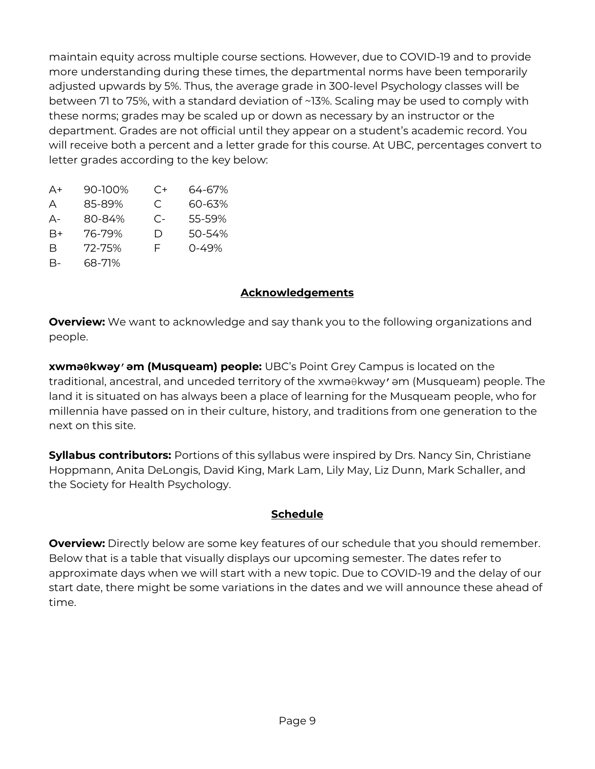maintain equity across multiple course sections. However, due to COVID-19 and to provide more understanding during these times, the departmental norms have been temporarily adjusted upwards by 5%. Thus, the average grade in 300-level Psychology classes will be between 71 to 75%, with a standard deviation of ~13%. Scaling may be used to comply with these norms; grades may be scaled up or down as necessary by an instructor or the department. Grades are not official until they appear on a student's academic record. You will receive both a percent and a letter grade for this course. At UBC, percentages convert to letter grades according to the key below:

| A+   | 90-100% | $C+$ | 64-67%    |
|------|---------|------|-----------|
| А    | 85-89%  | C    | 60-63%    |
| А-   | 80-84%  | $C-$ | 55-59%    |
| $B+$ | 76-79%  | D    | 50-54%    |
| В    | 72-75%  | F    | $0 - 49%$ |
| В-   | 68-71%  |      |           |

## **Acknowledgements**

**Overview:** We want to acknowledge and say thank you to the following organizations and people.

**xwməθkwəy̓əm (Musqueam) people:** UBC's Point Grey Campus is located on the traditional, ancestral, and unceded territory of the xwma $\theta$ kway' am (Musqueam) people. The land it is situated on has always been a place of learning for the Musqueam people, who for millennia have passed on in their culture, history, and traditions from one generation to the next on this site.

**Syllabus contributors:** Portions of this syllabus were inspired by Drs. Nancy Sin, Christiane Hoppmann, Anita DeLongis, David King, Mark Lam, Lily May, Liz Dunn, Mark Schaller, and the Society for Health Psychology.

### **Schedule**

**Overview:** Directly below are some key features of our schedule that you should remember. Below that is a table that visually displays our upcoming semester. The dates refer to approximate days when we will start with a new topic. Due to COVID-19 and the delay of our start date, there might be some variations in the dates and we will announce these ahead of time.